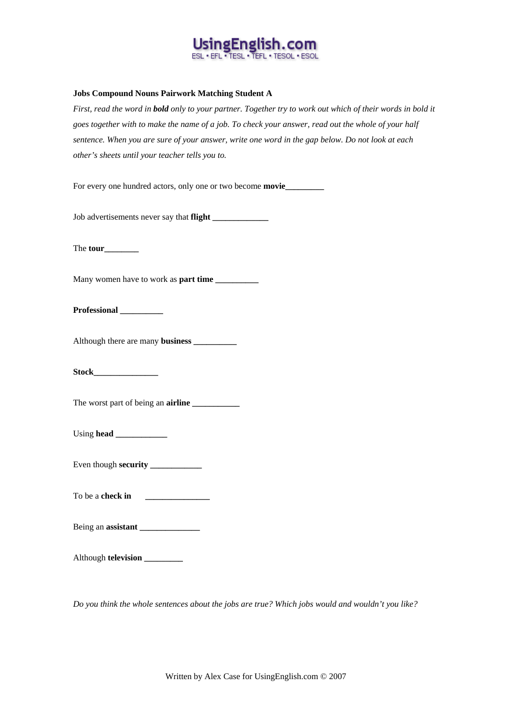

## **Jobs Compound Nouns Pairwork Matching Student A**

*First, read the word in bold only to your partner. Together try to work out which of their words in bold it goes together with to make the name of a job. To check your answer, read out the whole of your half sentence. When you are sure of your answer, write one word in the gap below. Do not look at each other's sheets until your teacher tells you to.* 

For every one hundred actors, only one or two become **movie** 

Job advertisements never say that **flight \_\_\_\_\_\_\_\_\_\_\_\_\_**

The **tour\_\_\_\_\_\_\_\_**

Many women have to work as **part time** 

**Professional \_\_\_\_\_\_\_\_\_\_**

Although there are many **business \_\_\_\_\_\_\_\_\_\_**

**Stock\_\_\_\_\_\_\_\_\_\_\_\_\_\_\_**

The worst part of being an **airline** 

Using **head** 

Even though **security \_\_\_\_\_\_\_\_\_\_\_\_**

To be a **check in \_\_\_\_\_\_\_\_\_\_\_\_\_\_\_**

Being an **assistant \_\_\_\_\_\_\_\_\_\_\_\_\_\_**

Although **television \_\_\_\_\_\_\_\_\_**

*Do you think the whole sentences about the jobs are true? Which jobs would and wouldn't you like?*